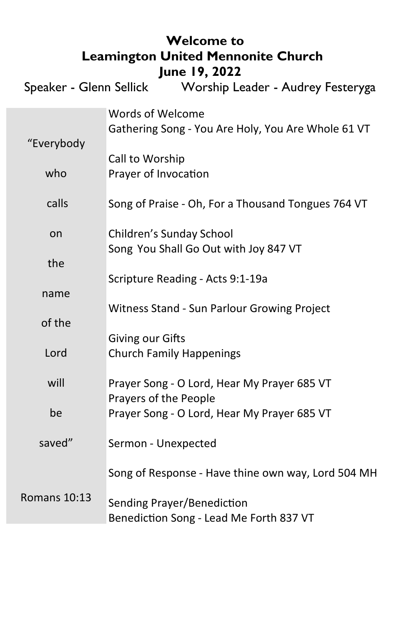| <b>Welcome to</b><br><b>Leamington United Mennonite Church</b><br>June 19, 2022 |                                                                        |
|---------------------------------------------------------------------------------|------------------------------------------------------------------------|
| Speaker - Glenn Sellick<br>Worship Leader - Audrey Festeryga                    |                                                                        |
| "Everybody                                                                      | Words of Welcome<br>Gathering Song - You Are Holy, You Are Whole 61 VT |
| who                                                                             | Call to Worship<br>Prayer of Invocation                                |
| calls                                                                           | Song of Praise - Oh, For a Thousand Tongues 764 VT                     |
| on                                                                              | Children's Sunday School<br>Song You Shall Go Out with Joy 847 VT      |
| the                                                                             | Scripture Reading - Acts 9:1-19a                                       |
| name                                                                            | Witness Stand - Sun Parlour Growing Project                            |
| of the                                                                          | Giving our Gifts                                                       |
| Lord                                                                            | <b>Church Family Happenings</b>                                        |
| will                                                                            | Prayer Song - O Lord, Hear My Prayer 685 VT<br>Prayers of the People   |
| be                                                                              | Prayer Song - O Lord, Hear My Prayer 685 VT                            |
| saved"                                                                          | Sermon - Unexpected                                                    |
|                                                                                 | Song of Response - Have thine own way, Lord 504 MH                     |
| <b>Romans 10:13</b>                                                             | Sending Prayer/Benediction<br>Benediction Song - Lead Me Forth 837 VT  |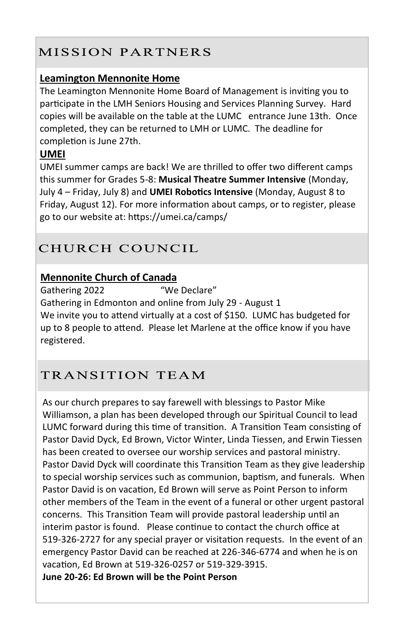## MISSION PARTNERS

#### **Leamington Mennonite Home**

The Leamington Mennonite Home Board of Management is inviting you to participate in the LMH Seniors Housing and Services Planning Survey. Hard copies will be available on the table at the LUMC entrance June 13th. Once completed, they can be returned to LMH or LUMC. The deadline for completion is June 27th.

## **UMEI**

UMEI summer camps are back! We are thrilled to offer two different camps this summer for Grades 5-8: **Musical Theatre Summer Intensive** (Monday, July 4 – Friday, July 8) and **UMEI Robotics Intensive** (Monday, August 8 to Friday, August 12). For more information about camps, or to register, please go to our website at: https://umei.ca/camps/

## CHURCH COUNCIL

## **Mennonite Church of Canada**

Gathering 2022 "We Declare"

Gathering in Edmonton and online from July 29 - August 1 We invite you to attend virtually at a cost of \$150. LUMC has budgeted for up to 8 people to attend. Please let Marlene at the office know if you have registered.

# TRANSITION TEAM

As our church prepares to say farewell with blessings to Pastor Mike Williamson, a plan has been developed through our Spiritual Council to lead LUMC forward during this time of transition. A Transition Team consisting of Pastor David Dyck, Ed Brown, Victor Winter, Linda Tiessen, and Erwin Tiessen has been created to oversee our worship services and pastoral ministry. Pastor David Dyck will coordinate this Transition Team as they give leadership to special worship services such as communion, baptism, and funerals. When Pastor David is on vacation, Ed Brown will serve as Point Person to inform other members of the Team in the event of a funeral or other urgent pastoral concerns. This Transition Team will provide pastoral leadership until an interim pastor is found. Please continue to contact the church office at 519-326-2727 for any special prayer or visitation requests. In the event of an emergency Pastor David can be reached at 226-346-6774 and when he is on vacation, Ed Brown at 519-326-0257 or 519-329-3915. **June 20-26: Ed Brown will be the Point Person**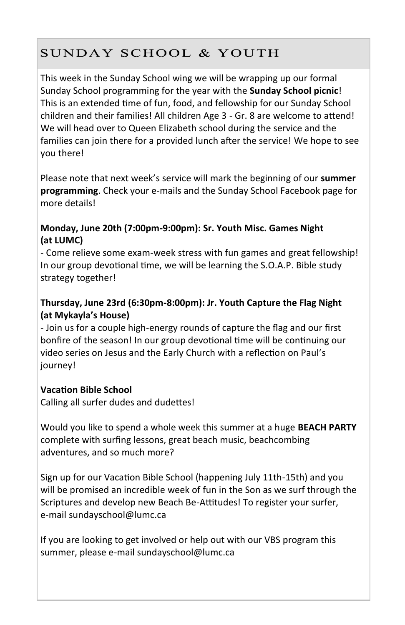# SUNDAY SCHOOL & YOUTH

This week in the Sunday School wing we will be wrapping up our formal Sunday School programming for the year with the **Sunday School picnic**! This is an extended time of fun, food, and fellowship for our Sunday School children and their families! All children Age 3 - Gr. 8 are welcome to attend! We will head over to Queen Elizabeth school during the service and the families can join there for a provided lunch after the service! We hope to see you there!

Please note that next week's service will mark the beginning of our **summer programming**. Check your e-mails and the Sunday School Facebook page for more details!

#### **Monday, June 20th (7:00pm-9:00pm): Sr. Youth Misc. Games Night (at LUMC)**

- Come relieve some exam-week stress with fun games and great fellowship! In our group devotional time, we will be learning the S.O.A.P. Bible study strategy together!

#### **Thursday, June 23rd (6:30pm-8:00pm): Jr. Youth Capture the Flag Night (at Mykayla's House)**

- Join us for a couple high-energy rounds of capture the flag and our first bonfire of the season! In our group devotional time will be continuing our video series on Jesus and the Early Church with a reflection on Paul's journey!

#### **Vacation Bible School**

Calling all surfer dudes and dudettes!

Would you like to spend a whole week this summer at a huge **BEACH PARTY**  complete with surfing lessons, great beach music, beachcombing adventures, and so much more?

Sign up for our Vacation Bible School (happening July 11th-15th) and you will be promised an incredible week of fun in the Son as we surf through the Scriptures and develop new Beach Be-Attitudes! To register your surfer, e-mail sundayschool@lumc.ca

If you are looking to get involved or help out with our VBS program this summer, please e-mail sundayschool@lumc.ca